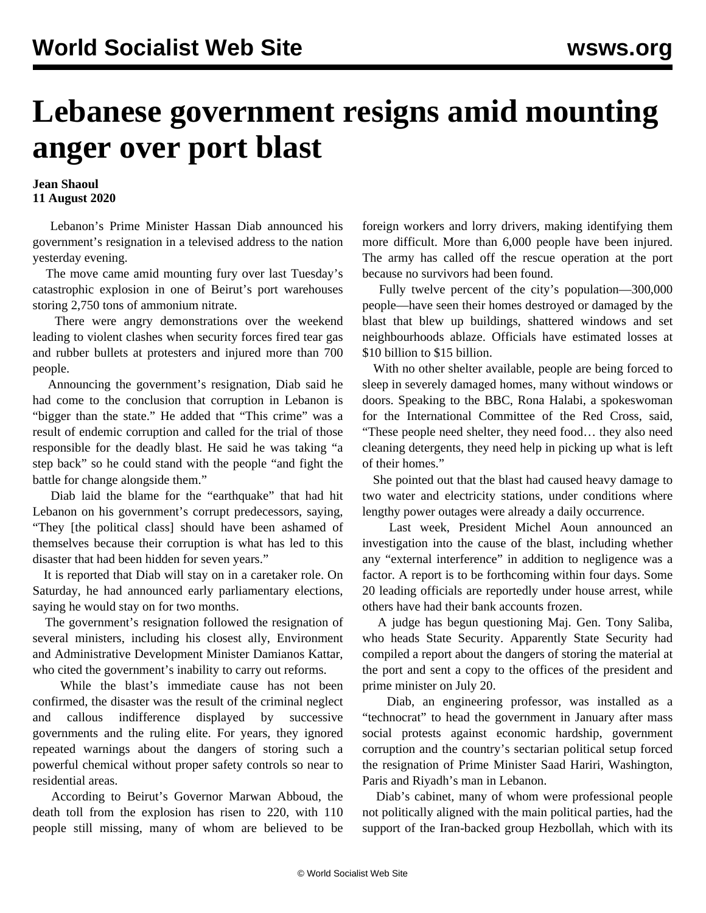## **Lebanese government resigns amid mounting anger over port blast**

## **Jean Shaoul 11 August 2020**

 Lebanon's Prime Minister Hassan Diab announced his government's resignation in a televised address to the nation yesterday evening.

 The move came amid mounting fury over last Tuesday's catastrophic explosion in one of Beirut's port warehouses storing 2,750 tons of ammonium nitrate.

 There were angry demonstrations over the weekend leading to violent clashes when security forces fired tear gas and rubber bullets at protesters and injured more than 700 people.

 Announcing the government's resignation, Diab said he had come to the conclusion that corruption in Lebanon is "bigger than the state." He added that "This crime" was a result of endemic corruption and called for the trial of those responsible for the deadly blast. He said he was taking "a step back" so he could stand with the people "and fight the battle for change alongside them."

 Diab laid the blame for the "earthquake" that had hit Lebanon on his government's corrupt predecessors, saying, "They [the political class] should have been ashamed of themselves because their corruption is what has led to this disaster that had been hidden for seven years."

 It is reported that Diab will stay on in a caretaker role. On Saturday, he had announced early parliamentary elections, saying he would stay on for two months.

 The government's resignation followed the resignation of several ministers, including his closest ally, Environment and Administrative Development Minister Damianos Kattar, who cited the government's inability to carry out reforms.

 While the blast's immediate cause has not been confirmed, the disaster was the result of the criminal neglect and callous indifference displayed by successive governments and the ruling elite. For years, they ignored repeated warnings about the dangers of storing such a powerful chemical without proper safety controls so near to residential areas.

 According to Beirut's Governor Marwan Abboud, the death toll from the explosion has risen to 220, with 110 people still missing, many of whom are believed to be foreign workers and lorry drivers, making identifying them more difficult. More than 6,000 people have been injured. The army has called off the rescue operation at the port because no survivors had been found.

 Fully twelve percent of the city's population—300,000 people—have seen their homes destroyed or damaged by the blast that blew up buildings, shattered windows and set neighbourhoods ablaze. Officials have estimated losses at \$10 billion to \$15 billion.

 With no other shelter available, people are being forced to sleep in severely damaged homes, many without windows or doors. Speaking to the BBC, Rona Halabi, a spokeswoman for the International Committee of the Red Cross, said, "These people need shelter, they need food… they also need cleaning detergents, they need help in picking up what is left of their homes."

 She pointed out that the blast had caused heavy damage to two water and electricity stations, under conditions where lengthy power outages were already a daily occurrence.

 Last week, President Michel Aoun announced an investigation into the cause of the blast, including whether any "external interference" in addition to negligence was a factor. A report is to be forthcoming within four days. Some 20 leading officials are reportedly under house arrest, while others have had their bank accounts frozen.

 A judge has begun questioning Maj. Gen. Tony Saliba, who heads State Security. Apparently State Security had compiled a report about the dangers of storing the material at the port and sent a copy to the offices of the president and prime minister on July 20.

 Diab, an engineering professor, was installed as a "technocrat" to head the government in January after mass social protests against economic hardship, government corruption and the country's sectarian political setup forced the resignation of Prime Minister Saad Hariri, Washington, Paris and Riyadh's man in Lebanon.

 Diab's cabinet, many of whom were professional people not politically aligned with the main political parties, had the support of the Iran-backed group Hezbollah, which with its